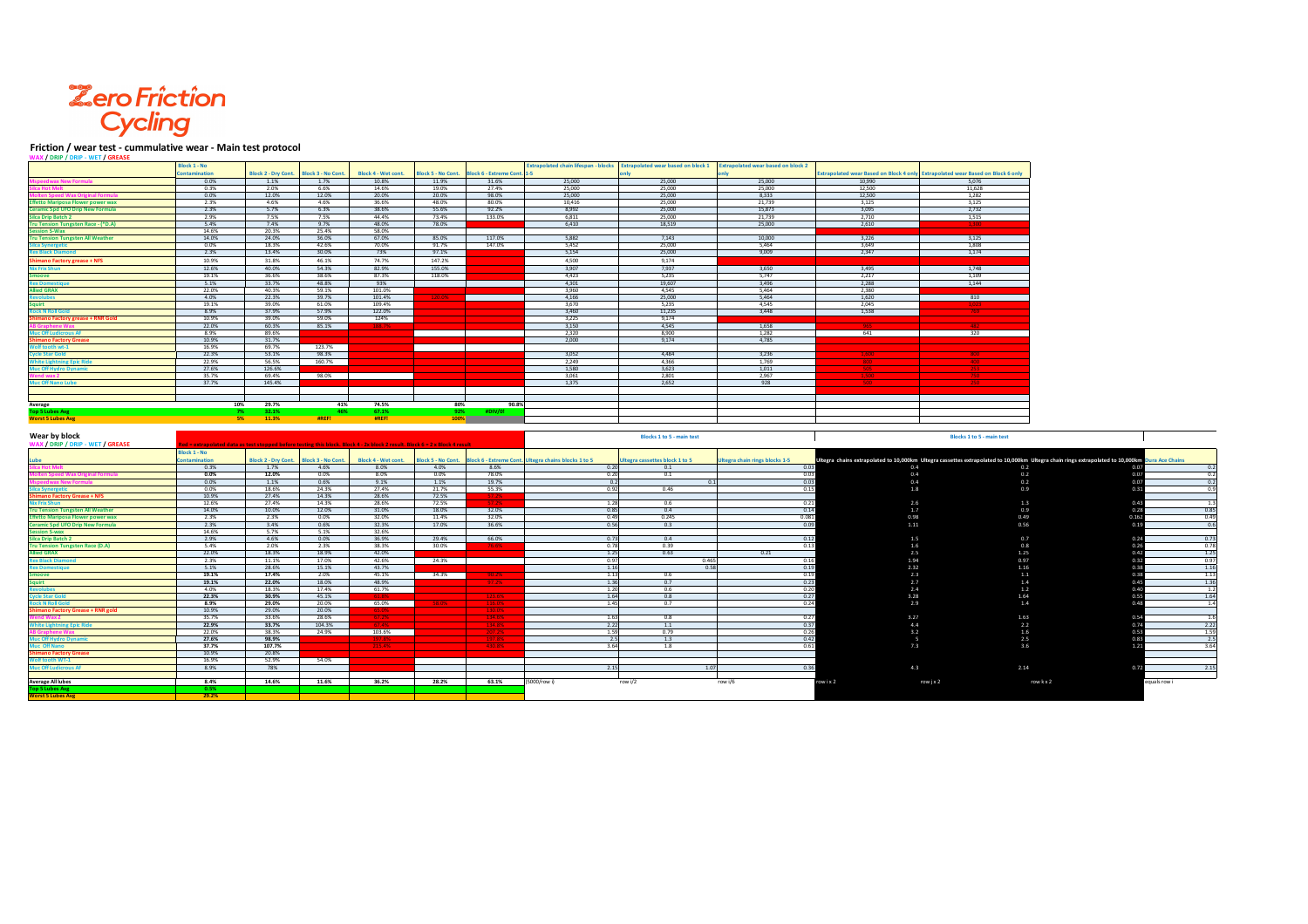## **Zero Friction<br>Cycling**

## **Friction / wear test - cummulative wear - Main test protocol**

| NAX / DRIP / DRIP - WET / GREASE                                                                                                                                                                                                                                                                                                                                                                                                                                                                                                                                                                                                                                                                                                                       |                      |                            |                           |                                                                                                                            |                  |                                                        |                                                                         |                                  |                                                                                                           |                          |                                                                                 |                                                                                                                                                 |
|--------------------------------------------------------------------------------------------------------------------------------------------------------------------------------------------------------------------------------------------------------------------------------------------------------------------------------------------------------------------------------------------------------------------------------------------------------------------------------------------------------------------------------------------------------------------------------------------------------------------------------------------------------------------------------------------------------------------------------------------------------|----------------------|----------------------------|---------------------------|----------------------------------------------------------------------------------------------------------------------------|------------------|--------------------------------------------------------|-------------------------------------------------------------------------|----------------------------------|-----------------------------------------------------------------------------------------------------------|--------------------------|---------------------------------------------------------------------------------|-------------------------------------------------------------------------------------------------------------------------------------------------|
|                                                                                                                                                                                                                                                                                                                                                                                                                                                                                                                                                                                                                                                                                                                                                        | <b>Block 1 - No</b>  |                            |                           |                                                                                                                            |                  |                                                        |                                                                         |                                  | xtrapolated chain lifespan - blocks Extrapolated wear based on block 1 Extrapolated wear based on block 2 |                          |                                                                                 |                                                                                                                                                 |
|                                                                                                                                                                                                                                                                                                                                                                                                                                                                                                                                                                                                                                                                                                                                                        | <b>Intamination</b>  | <b>Block 2 - Drv Cont.</b> | <b>Block 3 - No Cont.</b> | <b>Block 4 - Wet cont.</b>                                                                                                 | ock 5 - No Cont. | lock 6 - Extreme Cont.                                 |                                                                         |                                  |                                                                                                           |                          | Extrapolated wear Based on Block 4 only Extrapolated wear Based on Block 6 only |                                                                                                                                                 |
| <b>Mspeedwax New Formula</b>                                                                                                                                                                                                                                                                                                                                                                                                                                                                                                                                                                                                                                                                                                                           | 0.0%                 | 1.1%                       | 1.7%                      | 10.8%                                                                                                                      | 11.9%            | 31.6%                                                  | 25,000                                                                  | 25,000                           | 25,000                                                                                                    | 10.990                   | 5.076                                                                           |                                                                                                                                                 |
| <b>Ica Hot Melt</b>                                                                                                                                                                                                                                                                                                                                                                                                                                                                                                                                                                                                                                                                                                                                    | 0.3%                 | 2.0%                       | 6.6%                      | 14.6%                                                                                                                      | 19.0%            | 27.4%                                                  | 25,000                                                                  | 25,000                           | 25,000                                                                                                    | 12.500                   | 11.628                                                                          |                                                                                                                                                 |
| tan Snood Wa                                                                                                                                                                                                                                                                                                                                                                                                                                                                                                                                                                                                                                                                                                                                           | 0.0%                 | 12.0%                      | 12.0%                     | 20.0%                                                                                                                      | 20.0%            | 98.0%                                                  | 25,000                                                                  | 25,000                           | 8,333                                                                                                     | 12,500                   | 1,282                                                                           |                                                                                                                                                 |
| <b>Effetto Mariposa Flower power wax</b>                                                                                                                                                                                                                                                                                                                                                                                                                                                                                                                                                                                                                                                                                                               | 2.3%                 | 4.6%                       | 4.6%                      | 36.6%                                                                                                                      | 48.0%            | 80.0%                                                  | 10.416                                                                  | 25,000                           | 21,739                                                                                                    | 3.125                    | 3.125                                                                           |                                                                                                                                                 |
| <b>Ceramic Spd UFO Drip New Formula</b>                                                                                                                                                                                                                                                                                                                                                                                                                                                                                                                                                                                                                                                                                                                | 2.3%                 | 5.7%                       | 6.3%                      | 38.6%                                                                                                                      | 55.6%            | 92.2%                                                  | 8.992                                                                   | 25,000                           | 15,873                                                                                                    | 3.095                    | 2.732                                                                           |                                                                                                                                                 |
| <b>Silca Drip Batch 2</b>                                                                                                                                                                                                                                                                                                                                                                                                                                                                                                                                                                                                                                                                                                                              | 2.9%                 | 7.5%                       | 7.5%                      | 44.4%                                                                                                                      | 73.4%            | 133.0%                                                 | 6.811                                                                   | 25,000                           | 21,739                                                                                                    | 2.710                    | 1.515                                                                           |                                                                                                                                                 |
|                                                                                                                                                                                                                                                                                                                                                                                                                                                                                                                                                                                                                                                                                                                                                        | 5.4%                 | 7.4%                       | 9.7%                      | 48.0%                                                                                                                      | 78.0%            |                                                        | 6,410                                                                   | 18,519                           | 25,000                                                                                                    | 2,610                    | 1,300                                                                           |                                                                                                                                                 |
| Tru Tension Tungsten Race - (*D.A)<br>Session S-Wax                                                                                                                                                                                                                                                                                                                                                                                                                                                                                                                                                                                                                                                                                                    | 14.6%                | 20.3%                      | 25.4%                     | 58.0%                                                                                                                      |                  |                                                        |                                                                         |                                  |                                                                                                           |                          |                                                                                 |                                                                                                                                                 |
| <b>Tru Tension Tungsten All Weather</b>                                                                                                                                                                                                                                                                                                                                                                                                                                                                                                                                                                                                                                                                                                                | 14.0%                | 24.0%                      | 36.0%                     | 67.0%                                                                                                                      | 85.0%            | 117.0%                                                 | 5,882                                                                   | 7,143                            | 10,000                                                                                                    | 3,226                    | 3,125                                                                           |                                                                                                                                                 |
| ilca Synergetic                                                                                                                                                                                                                                                                                                                                                                                                                                                                                                                                                                                                                                                                                                                                        | 0.0%                 | 18.3%                      | 42.6%                     | 70.0%                                                                                                                      | 91.7%            | 147.0%                                                 | 5,452                                                                   | 25,000                           | 5,464                                                                                                     | 3.649                    | 1,808                                                                           |                                                                                                                                                 |
| <b>Rex Black Diamo</b>                                                                                                                                                                                                                                                                                                                                                                                                                                                                                                                                                                                                                                                                                                                                 | 2.3%                 | 13.4%                      | 30.0%                     | 73%                                                                                                                        | 97.1%            |                                                        | 5,154                                                                   | 25,000                           | 9,009                                                                                                     | 2.347                    | 1,174                                                                           |                                                                                                                                                 |
|                                                                                                                                                                                                                                                                                                                                                                                                                                                                                                                                                                                                                                                                                                                                                        | 10.9%                |                            |                           |                                                                                                                            |                  |                                                        | 4.500                                                                   | 9.174                            |                                                                                                           |                          |                                                                                 |                                                                                                                                                 |
| <b>Shimano Factory grease + NFS</b>                                                                                                                                                                                                                                                                                                                                                                                                                                                                                                                                                                                                                                                                                                                    |                      | 31.8%                      | 46.1%                     | 74.7%                                                                                                                      | 147.2%           |                                                        |                                                                         |                                  |                                                                                                           |                          |                                                                                 |                                                                                                                                                 |
| <b>Nix Frix Shun</b>                                                                                                                                                                                                                                                                                                                                                                                                                                                                                                                                                                                                                                                                                                                                   | 12.6%                | 40.0%                      | 54.3%                     | 82.9%                                                                                                                      | 155.0%           |                                                        | 3,907                                                                   | 7,937                            | 3,650                                                                                                     | 3,495                    | 1,748                                                                           |                                                                                                                                                 |
| <b>Smoove</b>                                                                                                                                                                                                                                                                                                                                                                                                                                                                                                                                                                                                                                                                                                                                          | 19.1%                | 36.6%                      | 38.6%                     | 87.3%                                                                                                                      | 118.0%           |                                                        | 4,423                                                                   | 5,235                            | 5.747                                                                                                     | 2.217                    | 1.109                                                                           |                                                                                                                                                 |
| <b>Rex Domestiqu</b>                                                                                                                                                                                                                                                                                                                                                                                                                                                                                                                                                                                                                                                                                                                                   | 5.1%                 | 33.7%                      | 48.8%                     | 93%                                                                                                                        |                  |                                                        | 4,301                                                                   | 19,607                           | 3,496                                                                                                     | 2,288                    | 1,144                                                                           |                                                                                                                                                 |
| <b>Allied GRAX</b>                                                                                                                                                                                                                                                                                                                                                                                                                                                                                                                                                                                                                                                                                                                                     | 22.0%                | 40.3%                      | 59.1%                     | 101.0%                                                                                                                     |                  |                                                        | 3.960                                                                   | 4.545                            | 5.464                                                                                                     | 2.380                    |                                                                                 |                                                                                                                                                 |
| <b>Produbes</b>                                                                                                                                                                                                                                                                                                                                                                                                                                                                                                                                                                                                                                                                                                                                        | 4.0%                 | 22.3%                      | 39.7%                     | 101.4%                                                                                                                     | 120.0%           |                                                        | 4.166                                                                   | 25,000                           | 5.464                                                                                                     | 1.620                    | 810                                                                             |                                                                                                                                                 |
| auirt                                                                                                                                                                                                                                                                                                                                                                                                                                                                                                                                                                                                                                                                                                                                                  | 19.1%                | 39.0%                      | 61.0%                     | 109.4%                                                                                                                     |                  |                                                        | 3,670                                                                   | 5,235                            | 4.545                                                                                                     | 2,045                    |                                                                                 |                                                                                                                                                 |
| <b>Rock N Roll Gold</b>                                                                                                                                                                                                                                                                                                                                                                                                                                                                                                                                                                                                                                                                                                                                | 8.9%                 | 37.9%                      | 57.9%                     | 122.0%                                                                                                                     |                  |                                                        | 3,460                                                                   | 11,235                           | 3,448                                                                                                     | 1,538                    |                                                                                 |                                                                                                                                                 |
| <b>Shimano Factory grease + RNR Gold</b>                                                                                                                                                                                                                                                                                                                                                                                                                                                                                                                                                                                                                                                                                                               | 10.9%                | 39.0%                      | 59.0%                     | 124%                                                                                                                       |                  |                                                        | 3.225                                                                   | 9.174                            |                                                                                                           |                          |                                                                                 |                                                                                                                                                 |
|                                                                                                                                                                                                                                                                                                                                                                                                                                                                                                                                                                                                                                                                                                                                                        | 22.0%                | 60.3%                      | 85.1%                     | 188.7%                                                                                                                     |                  |                                                        | 3.150                                                                   | 4.545                            | 1.658                                                                                                     | $\frac{965}{965}$        | $\frac{1}{482}$                                                                 |                                                                                                                                                 |
| <b>Muc Off Ludicrous AF</b>                                                                                                                                                                                                                                                                                                                                                                                                                                                                                                                                                                                                                                                                                                                            | 8.9%                 | 89.6%                      |                           |                                                                                                                            |                  |                                                        | 2,320                                                                   | 8,900                            | 1,282                                                                                                     | 641                      | 320                                                                             |                                                                                                                                                 |
| <b>Shimano Factory Grease</b>                                                                                                                                                                                                                                                                                                                                                                                                                                                                                                                                                                                                                                                                                                                          | 10.9%                | 31.7%                      |                           |                                                                                                                            |                  |                                                        | 2,000                                                                   | 9,174                            | 4,785                                                                                                     |                          |                                                                                 |                                                                                                                                                 |
| Wolf tooth wt-1                                                                                                                                                                                                                                                                                                                                                                                                                                                                                                                                                                                                                                                                                                                                        | 16.9%                | 69.7%                      | 123.7%                    |                                                                                                                            |                  |                                                        |                                                                         |                                  |                                                                                                           |                          |                                                                                 |                                                                                                                                                 |
| <b>Cycle Star Gold</b>                                                                                                                                                                                                                                                                                                                                                                                                                                                                                                                                                                                                                                                                                                                                 | 22.3%                | 53.1%                      | 98.3%                     |                                                                                                                            |                  |                                                        | 3,052                                                                   | 4,484                            | 3,236                                                                                                     |                          |                                                                                 |                                                                                                                                                 |
| <b>Thite Lightning Epic Ride</b>                                                                                                                                                                                                                                                                                                                                                                                                                                                                                                                                                                                                                                                                                                                       | 22.9%                | 56.5%                      | 160.7%                    |                                                                                                                            |                  |                                                        | 2,249                                                                   | 4,366                            | 1,769                                                                                                     |                          |                                                                                 |                                                                                                                                                 |
| Mhite Light Dynamic<br>Muc Off Hydro Dynamic                                                                                                                                                                                                                                                                                                                                                                                                                                                                                                                                                                                                                                                                                                           | 27.6%                | 126.6%                     |                           |                                                                                                                            |                  |                                                        | 1,580                                                                   | 3,623                            | 1,011                                                                                                     |                          |                                                                                 |                                                                                                                                                 |
|                                                                                                                                                                                                                                                                                                                                                                                                                                                                                                                                                                                                                                                                                                                                                        | 35.7%                | 69.4%                      | 98.0%                     |                                                                                                                            |                  |                                                        | 3,061                                                                   | 2,801                            | 2,967                                                                                                     |                          |                                                                                 |                                                                                                                                                 |
| Muc Off Nano Lube                                                                                                                                                                                                                                                                                                                                                                                                                                                                                                                                                                                                                                                                                                                                      | 37.7%                | 145.4%                     |                           |                                                                                                                            |                  |                                                        | 1,375                                                                   | 2,652                            | 928                                                                                                       |                          |                                                                                 |                                                                                                                                                 |
|                                                                                                                                                                                                                                                                                                                                                                                                                                                                                                                                                                                                                                                                                                                                                        |                      |                            |                           |                                                                                                                            |                  |                                                        |                                                                         |                                  |                                                                                                           |                          |                                                                                 |                                                                                                                                                 |
|                                                                                                                                                                                                                                                                                                                                                                                                                                                                                                                                                                                                                                                                                                                                                        |                      |                            |                           |                                                                                                                            |                  |                                                        |                                                                         |                                  |                                                                                                           |                          |                                                                                 |                                                                                                                                                 |
| Average                                                                                                                                                                                                                                                                                                                                                                                                                                                                                                                                                                                                                                                                                                                                                | 10%                  | 29.7%                      | 41%                       | 74.5%                                                                                                                      | 80%              | 90.8%                                                  |                                                                         |                                  |                                                                                                           |                          |                                                                                 |                                                                                                                                                 |
| <b>Top 5 Lubes Avg</b>                                                                                                                                                                                                                                                                                                                                                                                                                                                                                                                                                                                                                                                                                                                                 | 7%                   | 32.1%                      | 46%                       | 67.1%                                                                                                                      | 92%              | #DIV/0!                                                |                                                                         |                                  |                                                                                                           |                          |                                                                                 |                                                                                                                                                 |
| <b>Worst 5 Lubes Avg</b>                                                                                                                                                                                                                                                                                                                                                                                                                                                                                                                                                                                                                                                                                                                               | 5%                   | 11.3%                      | #REF!                     | #REF!                                                                                                                      | 100%             |                                                        |                                                                         |                                  |                                                                                                           |                          |                                                                                 |                                                                                                                                                 |
|                                                                                                                                                                                                                                                                                                                                                                                                                                                                                                                                                                                                                                                                                                                                                        |                      |                            |                           |                                                                                                                            |                  |                                                        |                                                                         |                                  |                                                                                                           |                          |                                                                                 |                                                                                                                                                 |
|                                                                                                                                                                                                                                                                                                                                                                                                                                                                                                                                                                                                                                                                                                                                                        |                      |                            |                           |                                                                                                                            |                  |                                                        |                                                                         |                                  |                                                                                                           |                          |                                                                                 |                                                                                                                                                 |
| Wear by block                                                                                                                                                                                                                                                                                                                                                                                                                                                                                                                                                                                                                                                                                                                                          |                      |                            |                           |                                                                                                                            |                  |                                                        |                                                                         | <b>Blocks 1 to 5 - main test</b> |                                                                                                           |                          | <b>Blocks 1 to 5 - main test</b>                                                |                                                                                                                                                 |
| WAX / DRIP / DRIP - WET / GREASE                                                                                                                                                                                                                                                                                                                                                                                                                                                                                                                                                                                                                                                                                                                       |                      |                            |                           |                                                                                                                            |                  |                                                        |                                                                         |                                  |                                                                                                           |                          |                                                                                 |                                                                                                                                                 |
|                                                                                                                                                                                                                                                                                                                                                                                                                                                                                                                                                                                                                                                                                                                                                        |                      |                            |                           | d = extrapolated data as test stopped before testing this block. Block 4 - 2x block 2 result. Block 6 = 2 x Block 4 result |                  |                                                        |                                                                         |                                  |                                                                                                           |                          |                                                                                 |                                                                                                                                                 |
|                                                                                                                                                                                                                                                                                                                                                                                                                                                                                                                                                                                                                                                                                                                                                        | Block 1 - No         |                            |                           |                                                                                                                            |                  |                                                        |                                                                         |                                  |                                                                                                           |                          |                                                                                 |                                                                                                                                                 |
|                                                                                                                                                                                                                                                                                                                                                                                                                                                                                                                                                                                                                                                                                                                                                        | <b>Contamination</b> | <b>Block 2 - Dry Cont.</b> | <b>Block 3 - No Cont.</b> | Block 4 - Wet cont.                                                                                                        |                  |                                                        | Block 5 - No Cont. Block 6 - Extreme Cont. Ultegra chains blocks 1 to 5 | Itegra cassettes block 1 to 5    | Itegra chain rings blocks 1-5                                                                             |                          |                                                                                 | Ultegra chains extrapolated to 10,000km Ultegra cassettes extrapolated to 10,000km Ultegra chain rings extrapolated to 10,000km Dura Ace Chains |
| Lube<br>Silca Hot Melt                                                                                                                                                                                                                                                                                                                                                                                                                                                                                                                                                                                                                                                                                                                                 | 0.3%                 | 1.7%                       | 4.6%                      | 8.0%                                                                                                                       | 4.0%             | 8.6%                                                   | 0.20                                                                    | 0.1                              | 0.03                                                                                                      | 0.4                      | 0.2                                                                             | 0.07                                                                                                                                            |
|                                                                                                                                                                                                                                                                                                                                                                                                                                                                                                                                                                                                                                                                                                                                                        | 0.0%                 | 12.0%                      | 0.0%                      | 8.0%                                                                                                                       | 0.0%             | 78.0%                                                  | 0.20                                                                    | 0.1                              | 0.03                                                                                                      | 0.4                      | 0.2                                                                             | 0.07                                                                                                                                            |
| edwax New Forn                                                                                                                                                                                                                                                                                                                                                                                                                                                                                                                                                                                                                                                                                                                                         | 0.0%                 | 1.1%                       | 0.6%                      | 9.1%                                                                                                                       | 1.1%             | 19.7%                                                  | 0.2                                                                     |                                  | 0.03                                                                                                      | 0.4                      | 0.2                                                                             | 0.07                                                                                                                                            |
|                                                                                                                                                                                                                                                                                                                                                                                                                                                                                                                                                                                                                                                                                                                                                        | 0.0%                 | 18.6%                      | 24.3%                     | 27.4%                                                                                                                      | 21.7%            | 55.3%                                                  | 0.92                                                                    | 0.46                             | 0.15                                                                                                      | 1.8                      | 0.9                                                                             | 0.31                                                                                                                                            |
|                                                                                                                                                                                                                                                                                                                                                                                                                                                                                                                                                                                                                                                                                                                                                        | 10.9%                | 27.4%                      | 14.3%                     | 28.6%                                                                                                                      | 72.5%            |                                                        |                                                                         |                                  |                                                                                                           |                          |                                                                                 |                                                                                                                                                 |
|                                                                                                                                                                                                                                                                                                                                                                                                                                                                                                                                                                                                                                                                                                                                                        | 12.6%                | 27.4%                      | 14.3%                     | 28.6%                                                                                                                      | 72.5%            |                                                        | 1.28                                                                    | 0.6                              | 0.21                                                                                                      | 2.6                      | 1.3                                                                             | 0.43                                                                                                                                            |
|                                                                                                                                                                                                                                                                                                                                                                                                                                                                                                                                                                                                                                                                                                                                                        | 14.0%                | 10.0%                      | 12.0%                     | 31.0%                                                                                                                      | 18.0%            | 32.0%                                                  | 0.85                                                                    | 0.4                              | 0.14                                                                                                      | 1.7                      | 0.9                                                                             | 0.28                                                                                                                                            |
|                                                                                                                                                                                                                                                                                                                                                                                                                                                                                                                                                                                                                                                                                                                                                        | 2.3%                 | 2.3%                       | 0.0%                      | 32.0%                                                                                                                      | 11.4%            | 32.0%                                                  | 0.49                                                                    | 0.245                            | 0.081                                                                                                     | 0.98                     | 0.49                                                                            | 0.162                                                                                                                                           |
|                                                                                                                                                                                                                                                                                                                                                                                                                                                                                                                                                                                                                                                                                                                                                        | 2.3%                 | 3.4%                       | 0.6%                      | 32.3%                                                                                                                      | 17.0%            | 36.6%                                                  |                                                                         | 0.3                              |                                                                                                           | 1.11                     | 0.56                                                                            | 0.19                                                                                                                                            |
|                                                                                                                                                                                                                                                                                                                                                                                                                                                                                                                                                                                                                                                                                                                                                        | 14.6%                | 5.7%                       | 5.1%                      | 32.6%                                                                                                                      |                  |                                                        | 0.56                                                                    |                                  | 0.09                                                                                                      |                          |                                                                                 |                                                                                                                                                 |
|                                                                                                                                                                                                                                                                                                                                                                                                                                                                                                                                                                                                                                                                                                                                                        | 2.9%                 | 4.6%                       | 0.0%                      | 36.9%                                                                                                                      | 29.4%            | 66.0%                                                  | 0.73                                                                    | 0.4                              | 0.12                                                                                                      | 1.5                      | 0.7                                                                             | 0.24                                                                                                                                            |
|                                                                                                                                                                                                                                                                                                                                                                                                                                                                                                                                                                                                                                                                                                                                                        | 5.4%                 | 2.0%                       | 2.3%                      | 38.3%                                                                                                                      | 30.0%            |                                                        | 0.78                                                                    | 0.39                             | 0.13                                                                                                      | 1.6                      | 0.8                                                                             | 0.26                                                                                                                                            |
|                                                                                                                                                                                                                                                                                                                                                                                                                                                                                                                                                                                                                                                                                                                                                        | 22.0%                | 18.3%                      | 18.9%                     | 42.0%                                                                                                                      |                  | 76.6%                                                  | 1.25                                                                    | 0.63                             | 0.21                                                                                                      | 2.5                      | 1.25                                                                            | 0.42                                                                                                                                            |
|                                                                                                                                                                                                                                                                                                                                                                                                                                                                                                                                                                                                                                                                                                                                                        | 2.3%                 | 11.1%                      | 17.0%                     | 42.6%                                                                                                                      |                  |                                                        | 0.97                                                                    | 0.465                            | 0.16                                                                                                      | 1.94                     | 0.97                                                                            | 0.32                                                                                                                                            |
|                                                                                                                                                                                                                                                                                                                                                                                                                                                                                                                                                                                                                                                                                                                                                        |                      |                            |                           |                                                                                                                            | 24.3%            |                                                        |                                                                         |                                  |                                                                                                           |                          |                                                                                 |                                                                                                                                                 |
|                                                                                                                                                                                                                                                                                                                                                                                                                                                                                                                                                                                                                                                                                                                                                        | 5.1%                 | 28.6%                      | 15.1%                     | 43.7%                                                                                                                      |                  | 90.2%                                                  | 1.16                                                                    | 0.58                             | 0.19                                                                                                      | 2.32                     | 1.16                                                                            | 0.38<br>0.38                                                                                                                                    |
|                                                                                                                                                                                                                                                                                                                                                                                                                                                                                                                                                                                                                                                                                                                                                        | 19.1%<br>19.1%       | 17.4%<br>22.0%             | 2.0%<br>18.0%             | 45.1%<br>48.9%                                                                                                             | 34.3%            |                                                        | 1.13<br>1.36                                                            | 0.6<br>0.7                       | 0.19<br>0.23                                                                                              | 2.3<br>2.7               | 1.1<br>1.4                                                                      | 0.45                                                                                                                                            |
| <u>evolubes</u>                                                                                                                                                                                                                                                                                                                                                                                                                                                                                                                                                                                                                                                                                                                                        | 4.0%                 | 18.3%                      | 17.4%                     | 61.7%                                                                                                                      |                  | 97.2%                                                  | 1.20                                                                    | 0.6                              | 0.20                                                                                                      |                          |                                                                                 | 0.40                                                                                                                                            |
|                                                                                                                                                                                                                                                                                                                                                                                                                                                                                                                                                                                                                                                                                                                                                        |                      |                            |                           |                                                                                                                            |                  |                                                        |                                                                         |                                  |                                                                                                           | 2.4                      | 1.2                                                                             |                                                                                                                                                 |
| <b>Cycle Star Gold</b>                                                                                                                                                                                                                                                                                                                                                                                                                                                                                                                                                                                                                                                                                                                                 | 22.3%                | 30.9%                      | 45.1%                     |                                                                                                                            | 58.0%            |                                                        | 1.64                                                                    | 0.8                              | 0.27                                                                                                      | 3.28                     | 1.64                                                                            | 0.55<br>0.48                                                                                                                                    |
|                                                                                                                                                                                                                                                                                                                                                                                                                                                                                                                                                                                                                                                                                                                                                        | 8.9%                 | 29.0%                      | 20.0%                     | 65.0%                                                                                                                      |                  | $\frac{123.6\%}{116.0\%}$<br>$\frac{130.0\%}{130.0\%}$ | 1.45                                                                    | 0.7                              | 0.24                                                                                                      | 2.9                      | 1.4                                                                             |                                                                                                                                                 |
|                                                                                                                                                                                                                                                                                                                                                                                                                                                                                                                                                                                                                                                                                                                                                        | 10.9%                | 29.0%                      | 20.0%                     |                                                                                                                            |                  |                                                        |                                                                         |                                  |                                                                                                           |                          |                                                                                 |                                                                                                                                                 |
|                                                                                                                                                                                                                                                                                                                                                                                                                                                                                                                                                                                                                                                                                                                                                        | 35.7%                | 33.6%                      | 28.6%                     |                                                                                                                            |                  | $\frac{134.6\%}{134.6\%}$                              | 1.63                                                                    | 0.8                              | 0.27                                                                                                      | 3.27                     | 1.63                                                                            | 0.54                                                                                                                                            |
|                                                                                                                                                                                                                                                                                                                                                                                                                                                                                                                                                                                                                                                                                                                                                        | 22.9%                | 33.7%                      | 104.3%                    | $\frac{67.2\%}{67.4\%}$                                                                                                    |                  |                                                        | 2.22                                                                    | 1.1                              | 0.37                                                                                                      | 4.4                      | 2.2                                                                             | 0.74                                                                                                                                            |
| Graphene Wax                                                                                                                                                                                                                                                                                                                                                                                                                                                                                                                                                                                                                                                                                                                                           | 22.0%                | 38.3%                      | 24.9%                     | 103.6%                                                                                                                     |                  |                                                        | 1.59                                                                    | 0.79                             | 0.26                                                                                                      | 3.2                      | 1.6                                                                             | 0.53                                                                                                                                            |
|                                                                                                                                                                                                                                                                                                                                                                                                                                                                                                                                                                                                                                                                                                                                                        | 27.6%                | 98.9%                      |                           | 197.8%                                                                                                                     |                  | 134.8%<br>207.2%<br>197.8%                             | 2.5                                                                     | 1.3                              | 0.42                                                                                                      | $\overline{\phantom{0}}$ | 2.5                                                                             | 0.83                                                                                                                                            |
| luc Off Nano                                                                                                                                                                                                                                                                                                                                                                                                                                                                                                                                                                                                                                                                                                                                           | 37.7%                | 107.7%                     |                           | 215.4%                                                                                                                     |                  | 430.8%                                                 | 3.64                                                                    | 1.8                              | 0.61                                                                                                      | 7.3                      | 3.6                                                                             |                                                                                                                                                 |
|                                                                                                                                                                                                                                                                                                                                                                                                                                                                                                                                                                                                                                                                                                                                                        | 10.9%                | 20.8%                      |                           |                                                                                                                            |                  |                                                        |                                                                         |                                  |                                                                                                           |                          |                                                                                 |                                                                                                                                                 |
| <b>Nolf tooth WT-1</b>                                                                                                                                                                                                                                                                                                                                                                                                                                                                                                                                                                                                                                                                                                                                 | 16.9%                | 52.9%                      | 54.0%                     |                                                                                                                            |                  |                                                        |                                                                         |                                  |                                                                                                           |                          |                                                                                 |                                                                                                                                                 |
|                                                                                                                                                                                                                                                                                                                                                                                                                                                                                                                                                                                                                                                                                                                                                        | 8.9%                 | 78%                        |                           |                                                                                                                            |                  |                                                        | 2.15                                                                    | 1.07                             | 0.36                                                                                                      | 4.3                      | 2.14                                                                            | 0.72                                                                                                                                            |
|                                                                                                                                                                                                                                                                                                                                                                                                                                                                                                                                                                                                                                                                                                                                                        |                      |                            |                           |                                                                                                                            |                  |                                                        |                                                                         |                                  |                                                                                                           |                          |                                                                                 |                                                                                                                                                 |
|                                                                                                                                                                                                                                                                                                                                                                                                                                                                                                                                                                                                                                                                                                                                                        | 8.4%                 |                            |                           | 14.6% 11.6% 36.2%                                                                                                          | 28.2%            | 63.1%                                                  | (5000/row i)                                                            | row i/2                          | row i/6                                                                                                   | row i x 2                | row j x 2                                                                       | row k x 2<br>equals row i                                                                                                                       |
| <b>Molten Speed Wax Original Formula</b><br><b>Silca Synergetic</b><br><b>Shimano Factory Grease + NFS</b><br><b>Nix Frix Shun</b><br><b>Tru Tension Tungsten All Weather</b><br>Effetto Mariposa Flower power wax<br><b>Ceramic Spd UFO Drip New Formula</b><br><b>Session S-wax</b><br><b>Silca Drip Batch 2</b><br><b>Tru Tension Tungsten Race (D.A)</b><br><b>Allied GRAX</b><br><b>Rex Black Diamond</b><br><b>Rex Domestique</b><br><b>Smoove</b><br><b>Squirt</b><br><b>Rock N Roll Gold</b><br><b>Shimano Factory Grease + RNR gold</b><br><b>White Lightning Epic Ride</b><br>Muc Off Hydro Dyna<br><b>Shimano Factory Grease</b><br><b>Muc Off Ludicrous AF</b><br><b>Average All lubes</b><br><b>Top 5 Lubes Avg<br/>Worst 5 Lubes Avg</b> | 0.5%<br>29.2%        |                            |                           |                                                                                                                            |                  |                                                        |                                                                         |                                  |                                                                                                           |                          |                                                                                 |                                                                                                                                                 |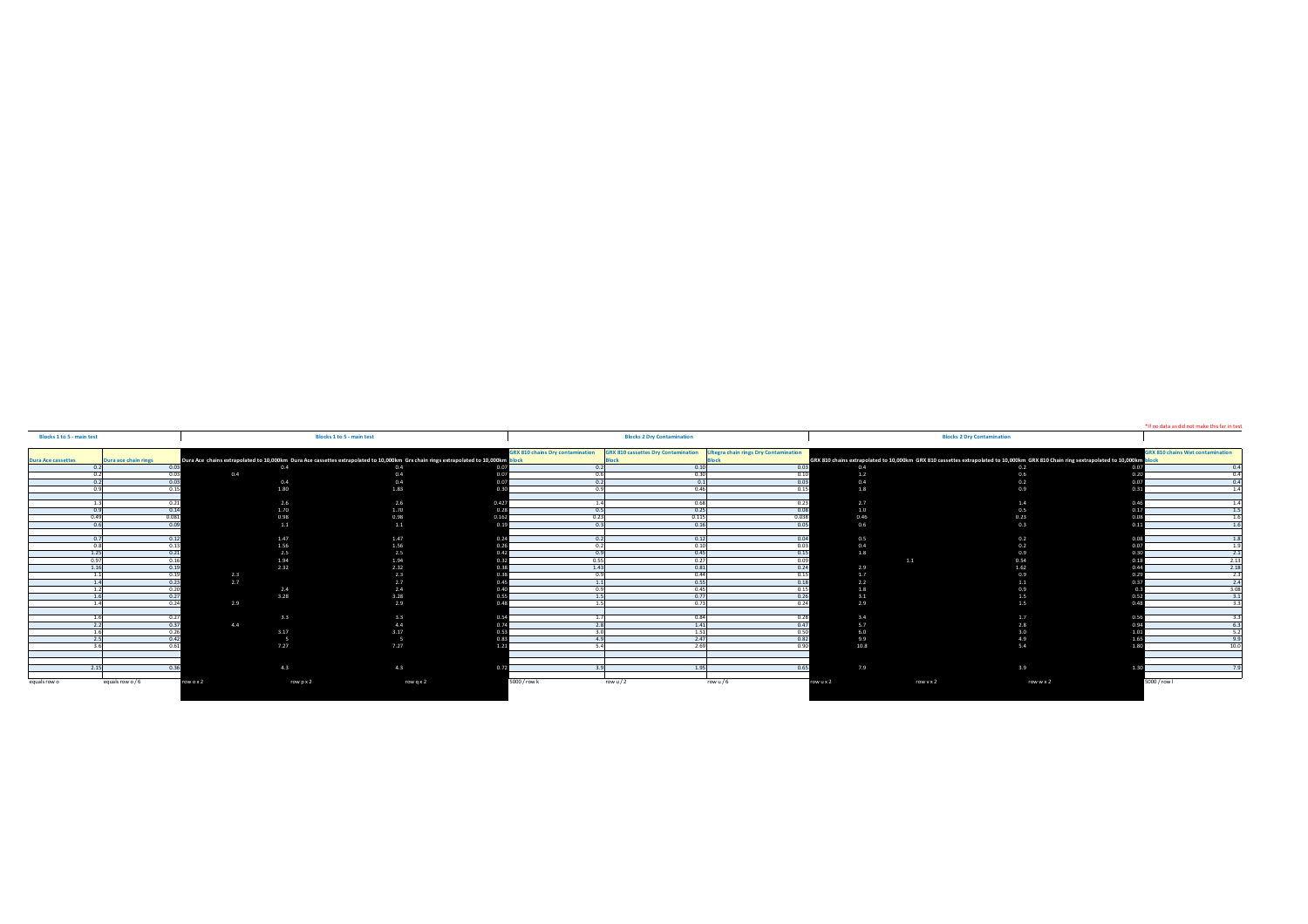| Blocks 1 to 5 - main test                                                                                                     |                                         | <b>Blocks 2 Dry Contamination</b>                                                |         |            |                                                                                                                                 |                                         |  |
|-------------------------------------------------------------------------------------------------------------------------------|-----------------------------------------|----------------------------------------------------------------------------------|---------|------------|---------------------------------------------------------------------------------------------------------------------------------|-----------------------------------------|--|
|                                                                                                                               | <b>GRX 810 chains Dry contamination</b> | <b>GRX 810 cassettes Dry Contamination</b> Ultegra chain rings Dry Contamination |         |            |                                                                                                                                 | <b>GRX 810 chains Wet contamination</b> |  |
| Dura Ace chains extrapolated to 10,000km Dura Ace cassettes extrapolated to 10,000km Grx chain rings extrapolated to 10,000km |                                         |                                                                                  |         |            | GRX 810 chains extrapolated to 10,000km GRX 810 cassettes extrapolated to 10,000km GRX 810 Chain ring sextrapolated to 10,000km |                                         |  |
| 0.4<br>0.4                                                                                                                    |                                         | 0.10                                                                             | 0.03    | 0.4        | 0.2                                                                                                                             |                                         |  |
| 0.4<br>0.4                                                                                                                    |                                         | 0.30                                                                             | 0.10    |            | 0 <sup>6</sup>                                                                                                                  |                                         |  |
| 0.4<br>0.4                                                                                                                    |                                         | 0.1                                                                              | 0.03    | 0.4        | 0.2                                                                                                                             |                                         |  |
| 1.80<br>1.83                                                                                                                  |                                         | 0A                                                                               |         | 1.8        | 0.9                                                                                                                             |                                         |  |
|                                                                                                                               |                                         |                                                                                  |         |            |                                                                                                                                 |                                         |  |
| 2.6<br>2.6                                                                                                                    |                                         | 0.68                                                                             | 0.23    | 2.7        | 1.4                                                                                                                             |                                         |  |
| 1.70<br>1.70                                                                                                                  |                                         | 0.25                                                                             | 0.08    | 1.0        | 0.5                                                                                                                             |                                         |  |
| 0.98<br>0.98                                                                                                                  |                                         | 0.115                                                                            | 0.038   | 0.46       | 0.23                                                                                                                            |                                         |  |
| 1.1<br>1.1                                                                                                                    |                                         | 0.16                                                                             | 0.05    | 0.6        | 0.3                                                                                                                             |                                         |  |
| 1.47                                                                                                                          |                                         |                                                                                  | 0.04    |            |                                                                                                                                 |                                         |  |
| 1.47<br>1.56<br>1.56                                                                                                          |                                         | 0.12                                                                             |         | 0.5<br>0.4 | 0.2<br>0.2                                                                                                                      |                                         |  |
| 2.5<br>2.5                                                                                                                    |                                         | 0.45                                                                             | 0.15    | 1.8        | 0.9                                                                                                                             |                                         |  |
| 1.94<br>1.94                                                                                                                  | 0.5                                     | 0.27                                                                             | 0.09    |            | 0.54<br>1.1                                                                                                                     |                                         |  |
| 2.32<br>2.32                                                                                                                  |                                         | 0.81                                                                             | 0.24    | 2.9        | 1.62                                                                                                                            |                                         |  |
| 2.3                                                                                                                           |                                         | 0.44                                                                             | 0.15    | 17         | 09                                                                                                                              |                                         |  |
| 2.7<br>2.7                                                                                                                    |                                         | 0.55                                                                             | 0.18    | 22         | 2.1                                                                                                                             |                                         |  |
| 2.4<br>2.4                                                                                                                    |                                         | 0.45                                                                             | 0.15    | 1.8        | 09                                                                                                                              |                                         |  |
| 3.28<br>3.28                                                                                                                  |                                         | 0.77                                                                             | 0.26    | 3.1        | 1.5                                                                                                                             |                                         |  |
| 2.9                                                                                                                           |                                         | 0.73                                                                             | 0.24    | 2.9        | 1.5                                                                                                                             |                                         |  |
|                                                                                                                               |                                         |                                                                                  |         |            |                                                                                                                                 |                                         |  |
| 3.3<br>3.3                                                                                                                    |                                         | 0.84                                                                             | 0.28    | 3.4        | 1.7                                                                                                                             |                                         |  |
| 4.4<br>4.4                                                                                                                    |                                         | 1.41                                                                             | 0.47    | <b>COL</b> | 2.8                                                                                                                             |                                         |  |
| 3.17<br>3.17                                                                                                                  |                                         | 1.51                                                                             | 0.50    | 6.0        | 30                                                                                                                              |                                         |  |
|                                                                                                                               |                                         | 2.47                                                                             | 0.82    | 9.9        | $\Lambda$ Q                                                                                                                     |                                         |  |
| 7.27<br>7.27                                                                                                                  |                                         | 2.69                                                                             | 0.90    | 10.8       | 5.4                                                                                                                             |                                         |  |
|                                                                                                                               |                                         |                                                                                  |         |            |                                                                                                                                 |                                         |  |
|                                                                                                                               |                                         |                                                                                  |         |            |                                                                                                                                 |                                         |  |
| 4.3<br>4.3                                                                                                                    |                                         | 1.95                                                                             | 0.65    | 7.9        | 3.9                                                                                                                             |                                         |  |
|                                                                                                                               |                                         |                                                                                  |         |            |                                                                                                                                 |                                         |  |
| row p x 2<br>row q x 2                                                                                                        | 5000 / row k                            | row u $/2$                                                                       | row u/6 | row u x 2  | row v x 2<br>row w x 2                                                                                                          | 5000 / row I                            |  |

\*If no data as did not make this far in test, double block 2 result\*